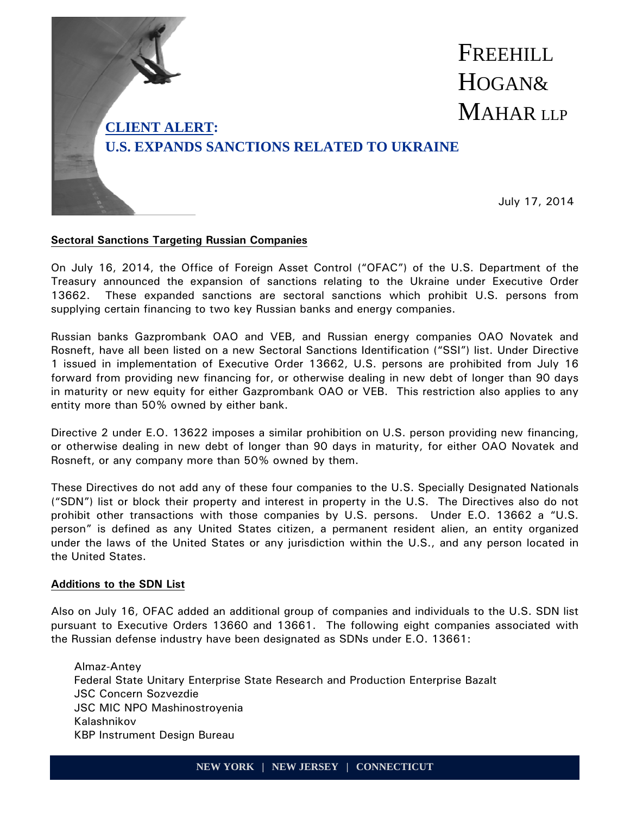

## **Sectoral Sanctions Targeting Russian Companies**

On July 16, 2014, the Office of Foreign Asset Control ("OFAC") of the U.S. Department of the Treasury announced the expansion of sanctions relating to the Ukraine under Executive Order 13662. These expanded sanctions are sectoral sanctions which prohibit U.S. persons from supplying certain financing to two key Russian banks and energy companies.

Russian banks Gazprombank OAO and VEB, and Russian energy companies OAO Novatek and Rosneft, have all been listed on a new Sectoral Sanctions Identification ("SSI") list. Under Directive 1 issued in implementation of Executive Order 13662, U.S. persons are prohibited from July 16 forward from providing new financing for, or otherwise dealing in new debt of longer than 90 days in maturity or new equity for either Gazprombank OAO or VEB. This restriction also applies to any entity more than 50% owned by either bank.

Directive 2 under E.O. 13622 imposes a similar prohibition on U.S. person providing new financing, or otherwise dealing in new debt of longer than 90 days in maturity, for either OAO Novatek and Rosneft, or any company more than 50% owned by them.

These Directives do not add any of these four companies to the U.S. Specially Designated Nationals ("SDN") list or block their property and interest in property in the U.S. The Directives also do not prohibit other transactions with those companies by U.S. persons. Under E.O. 13662 a "U.S. person" is defined as any United States citizen, a permanent resident alien, an entity organized under the laws of the United States or any jurisdiction within the U.S., and any person located in the United States.

## **Additions to the SDN List**

Also on July 16, OFAC added an additional group of companies and individuals to the U.S. SDN list pursuant to Executive Orders 13660 and 13661. The following eight companies associated with the Russian defense industry have been designated as SDNs under E.O. 13661:

Almaz-Antey Federal State Unitary Enterprise State Research and Production Enterprise Bazalt JSC Concern Sozvezdie JSC MIC NPO Mashinostroyenia Kalashnikov KBP Instrument Design Bureau